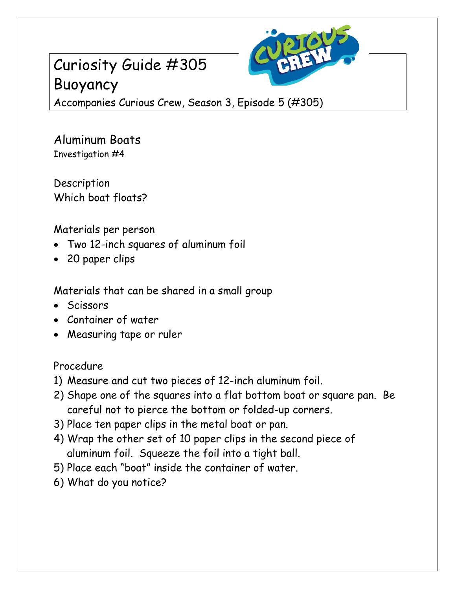# Curiosity Guide #305 Buoyancy



Accompanies Curious Crew, Season 3, Episode 5 (#305)

Aluminum Boats Investigation #4

Description Which boat floats?

Materials per person

- Two 12-inch squares of aluminum foil
- 20 paper clips

Materials that can be shared in a small group

- Scissors
- Container of water
- Measuring tape or ruler

### Procedure

- 1) Measure and cut two pieces of 12-inch aluminum foil.
- 2) Shape one of the squares into a flat bottom boat or square pan. Be careful not to pierce the bottom or folded-up corners.
- 3) Place ten paper clips in the metal boat or pan.
- 4) Wrap the other set of 10 paper clips in the second piece of aluminum foil. Squeeze the foil into a tight ball.
- 5) Place each "boat" inside the container of water.
- 6) What do you notice?